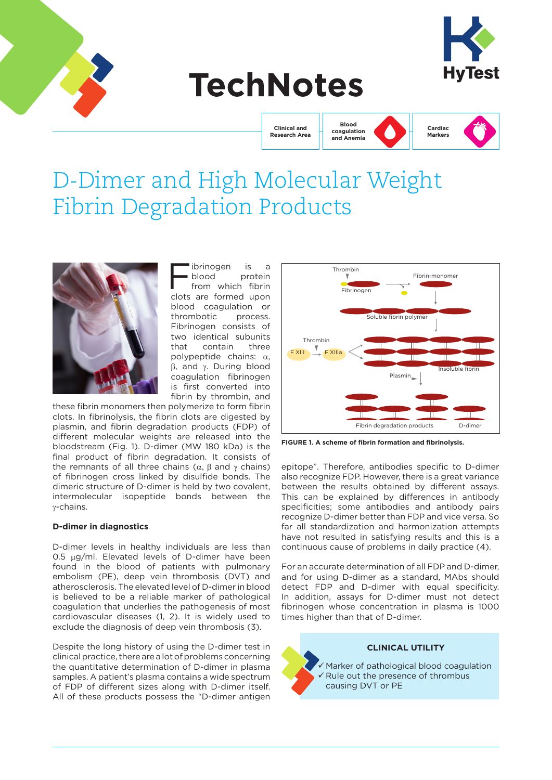

# **TechNotes**



**Clinical and Research Area**

**Blood coagulation and Anemia**



# D-Dimer and High Molecular Weight Fibrin Degradation Products



Fibrinogen is a<br>
phood protein<br>
from which fibrin<br>
clots are farmed upon blood protein clots are formed upon blood coagulation or thrombotic process. Fibrinogen consists of two identical subunits that contain three polypeptide chains: α, β, and γ. During blood coagulation fibrinogen is first converted into fibrin by thrombin, and

these fibrin monomers then polymerize to form fibrin clots. In fibrinolysis, the fibrin clots are digested by plasmin, and fibrin degradation products (FDP) of different molecular weights are released into the bloodstream (Fig. 1). D-dimer (MW 180 kDa) is the final product of fibrin degradation. It consists of the remnants of all three chains ( $\alpha$ , β and γ chains) of fibrinogen cross linked by disulfide bonds. The dimeric structure of D-dimer is held by two covalent, intermolecular isopeptide bonds between the γ-chains.

## **D-dimer in diagnostics**

D-dimer levels in healthy individuals are less than 0.5 µg/ml. Elevated levels of D-dimer have been found in the blood of patients with pulmonary embolism (PE), deep vein thrombosis (DVT) and atherosclerosis. The elevated level of D-dimer in blood is believed to be a reliable marker of pathological coagulation that underlies the pathogenesis of most cardiovascular diseases (1, 2). It is widely used to exclude the diagnosis of deep vein thrombosis (3).

Despite the long history of using the D-dimer test in clinical practice, there are a lot of problems concerning the quantitative determination of D-dimer in plasma samples. A patient's plasma contains a wide spectrum of FDP of different sizes along with D-dimer itself. All of these products possess the "D-dimer antigen



**FIGURE 1. A scheme of fibrin formation and fibrinolysis.**

epitope". Therefore, antibodies specific to D-dimer also recognize FDP. However, there is a great variance between the results obtained by different assays. This can be explained by differences in antibody specificities; some antibodies and antibody pairs recognize D-dimer better than FDP and vice versa. So far all standardization and harmonization attempts have not resulted in satisfying results and this is a continuous cause of problems in daily practice (4).

For an accurate determination of all FDP and D-dimer, and for using D-dimer as a standard, MAbs should detect FDP and D-dimer with equal specificity. In addition, assays for D-dimer must not detect fibrinogen whose concentration in plasma is 1000 times higher than that of D-dimer.

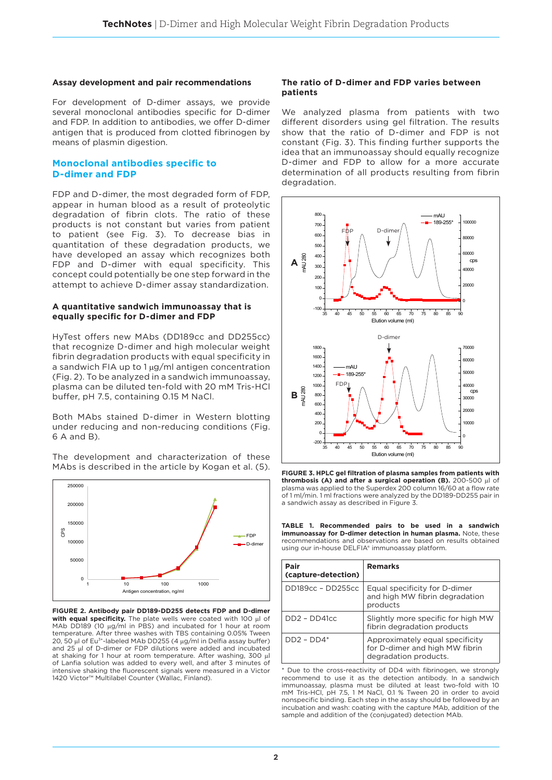#### **Assay development and pair recommendations**

For development of D-dimer assays, we provide several monoclonal antibodies specific for D-dimer and FDP. In addition to antibodies, we offer D-dimer antigen that is produced from clotted fibrinogen by means of plasmin digestion.

#### **Monoclonal antibodies specific to D-dimer and FDP**

FDP and D-dimer, the most degraded form of FDP, appear in human blood as a result of proteolytic degradation of fibrin clots. The ratio of these products is not constant but varies from patient to patient (see Fig. 3). To decrease bias in quantitation of these degradation products, we have developed an assay which recognizes both FDP and D-dimer with equal specificity. This concept could potentially be one step forward in the attempt to achieve D-dimer assay standardization.

#### **A quantitative sandwich immunoassay that is equally specific for D-dimer and FDP**

HyTest offers new MAbs (DD189cc and DD255cc) that recognize D-dimer and high molecular weight fibrin degradation products with equal specificity in a sandwich FIA up to 1 ug/ml antigen concentration (Fig. 2). To be analyzed in a sandwich immunoassay, plasma can be diluted ten-fold with 20 mM Tris-HCl buffer, pH 7.5, containing 0.15 M NaCl.

Both MAbs stained D-dimer in Western blotting under reducing and non-reducing conditions (Fig. 6 A and B).

The development and characterization of these MAbs is described in the article by Kogan et al. (5).



**FIGURE 2. Antibody pair DD189-DD255 detects FDP and D-dimer**  with equal specificity. The plate wells were coated with 100 µl of MAb DD189 (10 µg/ml in PBS) and incubated for 1 hour at room temperature. After three washes with TBS containing 0.05% Tween 20, 50 µl of Eu<sup>3+</sup>-labeled MAb DD255 (4 µg/ml in Delfia assay buffer) and 25 µl of D-dimer or FDP dilutions were added and incubated at shaking for 1 hour at room temperature. After washing, 300 µl of Lanfia solution was added to every well, and after 3 minutes of intensive shaking the fluorescent signals were measured in a Victor 1420 Victor™ Multilabel Counter (Wallac, Finland).

#### **The ratio of D-dimer and FDP varies between patients**

We analyzed plasma from patients with two different disorders using gel filtration. The results show that the ratio of D-dimer and FDP is not constant (Fig. 3). This finding further supports the idea that an immunoassay should equally recognize D-dimer and FDP to allow for a more accurate determination of all products resulting from fibrin degradation.



**FIGURE 3. HPLC gel filtration of plasma samples from patients with thrombosis (A) and after a surgical operation (B).** 200-500 μl of plasma was applied to the Superdex 200 column 16/60 at a flow rate of 1 ml/min. 1 ml fractions were analyzed by the DD189-DD255 pair in a sandwich assay as described in Figure 3.

**TABLE 1. Recommended pairs to be used in a sandwich immunoassay for D-dimer detection in human plasma.** Note, these recommendations and observations are based on results obtained using our in-house DELFIA® immunoassay platform.

| Pair<br>(capture-detection) | <b>Remarks</b>                                                                             |
|-----------------------------|--------------------------------------------------------------------------------------------|
| DD189cc - DD255cc           | Equal specificity for D-dimer<br>and high MW fibrin degradation<br>products                |
| $DD2 - DD41cc$              | Slightly more specific for high MW<br>fibrin degradation products                          |
| $DD2 - DD4*$                | Approximately equal specificity<br>for D-dimer and high MW fibrin<br>degradation products. |

\* Due to the cross-reactivity of DD4 with fibrinogen, we strongly recommend to use it as the detection antibody. In a sandwich immunoassay, plasma must be diluted at least two-fold with 10 mM Tris-HCl, pH 7.5, 1 M NaCl, 0.1 % Tween 20 in order to avoid nonspecific binding. Each step in the assay should be followed by an incubation and wash: coating with the capture MAb, addition of the sample and addition of the (conjugated) detection MAb.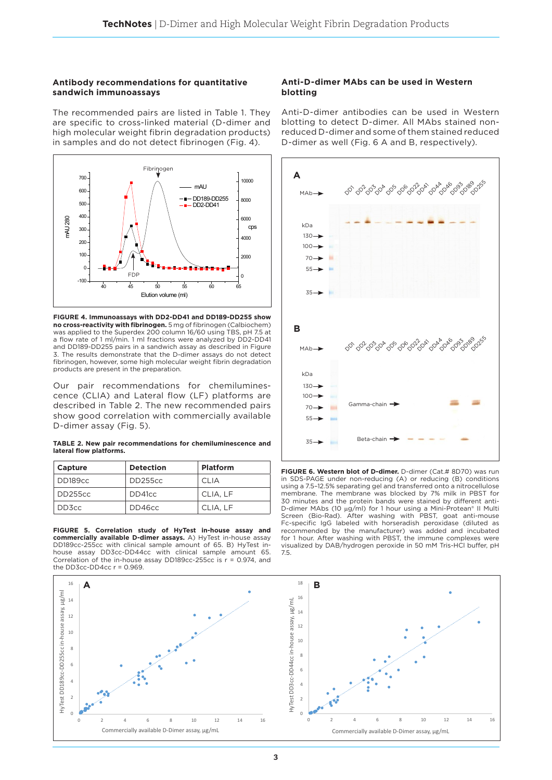#### **Antibody recommendations for quantitative sandwich immunoassays**

The recommended pairs are listed in Table 1. They are specific to cross-linked material (D-dimer and high molecular weight fibrin degradation products) in samples and do not detect fibrinogen (Fig. 4).



**FIGURE 4. Immunoassays with DD2-DD41 and DD189-DD255 show no cross-reactivity with fibrinogen.** 5 mg of fibrinogen (Calbiochem) was applied to the Superdex 200 column 16/60 using TBS, pH 7.5 at a flow rate of 1 ml/min. 1 ml fractions were analyzed by DD2-DD41 and DD189-DD255 pairs in a sandwich assay as described in Figure 3. The results demonstrate that the D-dimer assays do not detect fibrinogen, however, some high molecular weight fibrin degradation products are present in the preparation.

Our pair recommendations for chemiluminescence (CLIA) and Lateral flow (LF) platforms are described in Table 2. The new recommended pairs show good correlation with commercially available D-dimer assay (Fig. 5).

**TABLE 2. New pair recommendations for chemiluminescence and lateral flow platforms.**

| Capture | <b>Detection</b> | <b>Platform</b> |
|---------|------------------|-----------------|
| DD189cc | DD255cc          | CI IA           |
| DD255cc | DD41cc           | CLIA. LF        |
| DD3cc   | DD46cc           | CLIA, LF        |

**FIGURE 5. Correlation study of HyTest in-house assay and commercially available D-dimer assays.** A) HyTest in-house assay DD189cc-255cc with clinical sample amount of 65. B) HyTest inhouse assay DD3cc-DD44cc with clinical sample amount 65. Correlation of the in-house assay DD189cc-255cc is r = 0.974, and the DD3cc-DD4cc  $r = 0.969$ .

#### **Anti-D-dimer MAbs can be used in Western blotting**

Anti-D-dimer antibodies can be used in Western blotting to detect D-dimer. All MAbs stained nonreduced D-dimer and some of them stained reduced D-dimer as well (Fig. 6 A and B, respectively).



**FIGURE 6. Western blot of D-dimer.** D-dimer (Cat.# 8D70) was run in SDS-PAGE under non-reducing (A) or reducing (B) conditions using a 7.5–12.5% separating gel and transferred onto a nitrocellulose membrane. The membrane was blocked by 7% milk in PBST for 30 minutes and the protein bands were stained by different anti-D-dimer MAbs (10 μg/ml) for 1 hour using a Mini-Protean® II Multi Screen (Bio-Rad). After washing with PBST, goat anti-mouse Fc-specific IgG labeled with horseradish peroxidase (diluted as recommended by the manufacturer) was added and incubated for 1 hour. After washing with PBST, the immune complexes were visualized by DAB/hydrogen peroxide in 50 mM Tris-HCl buffer, pH 7.5.